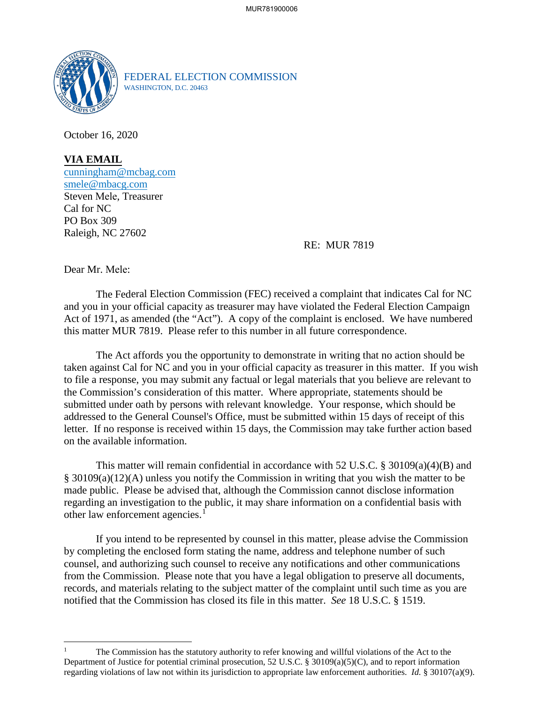

FEDERAL ELECTION COMMISSION WASHINGTON, D.C. 20463

October 16, 2020

**VIA EMAIL** cunningham@mcbag.com smele@mbacg.com Steven Mele, Treasurer Cal for NC PO Box 309 Raleigh, NC 27602

## RE: MUR 7819

Dear Mr. Mele:

The Federal Election Commission (FEC) received a complaint that indicates Cal for NC and you in your official capacity as treasurer may have violated the Federal Election Campaign Act of 1971, as amended (the "Act"). A copy of the complaint is enclosed. We have numbered this matter MUR 7819. Please refer to this number in all future correspondence.

The Act affords you the opportunity to demonstrate in writing that no action should be taken against Cal for NC and you in your official capacity as treasurer in this matter. If you wish to file a response, you may submit any factual or legal materials that you believe are relevant to the Commission's consideration of this matter. Where appropriate, statements should be submitted under oath by persons with relevant knowledge. Your response, which should be addressed to the General Counsel's Office, must be submitted within 15 days of receipt of this letter. If no response is received within 15 days, the Commission may take further action based on the available information.

This matter will remain confidential in accordance with 52 U.S.C. § 30109(a)(4)(B) and § 30109(a)(12)(A) unless you notify the Commission in writing that you wish the matter to be made public. Please be advised that, although the Commission cannot disclose information regarding an investigation to the public, it may share information on a confidential basis with other law enforcement agencies.<sup>1</sup>

If you intend to be represented by counsel in this matter, please advise the Commission by completing the enclosed form stating the name, address and telephone number of such counsel, and authorizing such counsel to receive any notifications and other communications from the Commission. Please note that you have a legal obligation to preserve all documents, records, and materials relating to the subject matter of the complaint until such time as you are notified that the Commission has closed its file in this matter. *See* 18 U.S.C. § 1519.

<sup>1</sup> The Commission has the statutory authority to refer knowing and willful violations of the Act to the Department of Justice for potential criminal prosecution, 52 U.S.C. § 30109(a)(5)(C), and to report information regarding violations of law not within its jurisdiction to appropriate law enforcement authorities. *Id.* § 30107(a)(9).